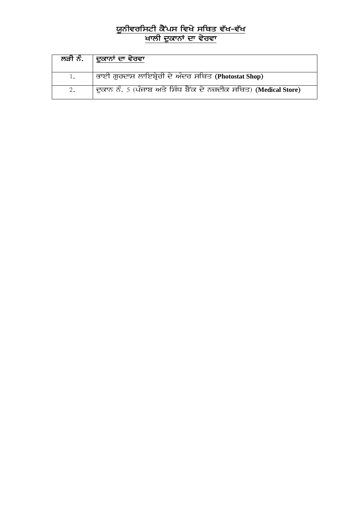## ਯੂਨੀਵਰਸਿਟੀ ਕੈਂਪਸ ਵਿਖੇ ਸਥਿਤ ਵੱਖ-ਵੱਖ <u>ਖਾਲੀ ਦੁਕਾਨਾਂ ਦਾ ਵੇਰਵਾ</u>

| ਲੜੀ ਨੰ. | ਦੁਕਾਨਾਂ ਦਾ ਵੇਰਵਾ                                                 |
|---------|------------------------------------------------------------------|
|         | ਭਾਈ ਗੁਰਦਾਸ ਲਾਇਬ੍ਰੇਰੀ ਦੇ ਅੰਦਰ ਸਥਿਤ (Photostat Shop)               |
|         | ਦੁਕਾਨ ਨੰ. 5 (ਪੰਜਾਬ ਅਤੇ ਸਿੰਧ ਬੈਂਕ ਦੇ ਨਜ਼ਦੀਕ ਸਥਿਤ) (Medical Store) |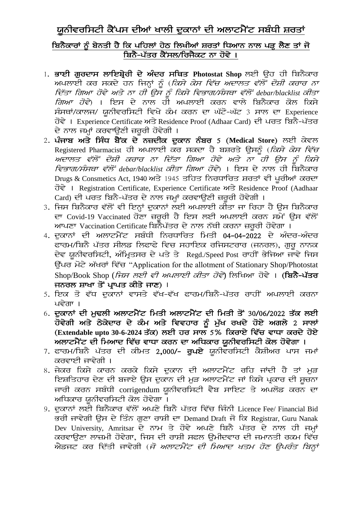## ਯਨੀਵਰਸਿਟੀ ਕੈਂਪਸ ਦੀਆਂ ਖਾਲੀ ਦਕਾਨਾਂ ਦੀ ਅਲਾਟਮੈਂਟ ਸਬੰਧੀ ਸ਼ਰਤਾਂ

## <u>ਬਿਨੈਕਾਰਾਂ ਨੂੰ ਬੇਨਤੀ ਹੈ ਕਿ ਪਹਿਲਾਂ ਹੇਠ ਲਿਖੀਆਂ ਸ਼ਰਤਾਂ ਧਿਆਨ ਨਾਲ ਪੜ੍ਹ ਲੈਣ ਤਾਂ ਜੋ</u> ਬਿਨੈ-ਪੱਤਰ ਕੈਂਸਲ/ਰਿਜੈਕਟ ਨਾ ਹੋਵੇ ।

- 1. ਭਾਈ ਗਰਦਾਸ ਲਾਇਬ੍ਰੇਰੀ ਦੇ ਅੰਦਰ ਸਥਿਤ Photostat Shop ਲਈ ਉਹ ਹੀ ਬਿਨੈਕਾਰ ਅਪਲਾਈ ਕਰ ਸਕਦੇ ਹਨ ਜਿਨ੍ਹਾਂ ਨੂੰ (*ਕਿਸੇ ਕੇਸ ਵਿੱਚ ਅਦਾਲਤ ਵੱਲੋਂ ਦੋਸ਼ੀ ਕਰਾਰ ਨਾ* ideas in the common way <del>of the common computer of the bar</del> and the common of the state of the four that the four<br>ਵਿੱਤਾ ਗਿਆ ਹੋਵੇ ਅਤੇ ਨਾ ਹੀ ਉਸ ਨੂੰ ਕਿਸੇ ਵਿਭਾਗ/ਸੰਸਥਾ ਵੱਲੋਂ debar/blacklist ਕੀਤਾ *ਗਿਆ ਹੋਵੇ*) । ਇਸ ਦੇ ਨਾਲ ਹੀ ਅਪਲਾਈ ਕਰਨ ਵਾਲੇ ਬਿਨੈਕਾਰ ਕੋਲ ਕਿਸੇ ਸੰਸਥਾਂ/ਕਾਲਜ/ ਯੂਨੀਵਰਸਿਟੀ ਵਿਖੇ ਕੰਮ ਕਰਨ ਦਾ ਘੱਟੋ-ਘੱਟ 3 ਸਾਲ ਦਾ Experience ਹੋਵੇ। Experience Certificate ਅਤੇ Residence Proof (Adhaar Card) ਦੀ ਪਰਤ ਬਿਨੈ-ਪੱਤਰ ਦੇ ਨਾਲ ਜਮਾਂ ਕਰਵਾਉਣੀ ਜ਼ਰਰੀ ਹੋਵੇਗੀ ।
- 2. ਪੰਜਾਬ ਅਤੇ ਸਿੰਧ ਬੈਂਕ ਦੇ ਨਜ਼ਦੀਕ ਦੁਕਾਨ ਨੰਬਰ 5 (Medical Store) ਲਈ ਕੇਵਲ Registered Pharmacist ਹੀ ਅਪਲਾਈ ਕਰ ਸਕਦਾ ਹੈ ਬਸ਼ਰਤੇ ਉਸਨੂੰ (*ਕਿਸੇ ਕੇਸ ਵਿੱਚ* Adwlq v`loN doSI krwr nw id`qw igAw hovy Aqy nw hI aus nUM iksy *ਵਿਭਾਗ/ਸੰਸਥਾ ਵੱਲੋਂ debar/blacklist ਕੀਤਾ ਗਿਆ ਹੋਵੇ*) । ਇਸ ਦੇ ਨਾਲ ਹੀ ਬਿਨੈਕਾਰ Drugs & Consmetics Act, 1940 ਅਤੇ 1945 ਤਹਿਤ ਨਿਰਧਾਰਿਤ ਸ਼ਰਤਾਂ ਵੀ ਪਰੀਆਂ ਕਰਦਾ hovy [ Registration Certificate, Experience Certificate Aqy Residence Proof (Aadhaar Card) ਦੀ ਪਰਤ ਬਿਨੈ-ਪੱਤਰ ਦੇ ਨਾਲ ਜਮ੍ਹਾਂ ਕਰਵਾਉਣੀ ਜ਼ਰੂਰੀ ਹੋਵੇਗੀ ।
- 3. ਜਿਸ ਬਿਨੈਕਾਰ ਵੱਲੋਂ ਵੀ ਇਨ੍ਹਾਂ ਦੁਕਾਨਾਂ ਲਈ ਅਪਲਾਈ ਕੀਤਾ ਜਾ ਰਿਹਾ ਹੈ ਉਸ ਬਿਨੈਕਾਰ ਦਾ Covid-19 Vaccinated ਹੋਣਾ ਜ਼ਰਰੀ ਹੈ ਇਸ ਲਈ ਅਪਲਾਈ ਕਰਨ ਸਮੇਂ ਉਸ ਵੱਲੋਂ ਆਪਣਾ Vaccination Certificate ਬਿਨੈਪੱਤਰ ਦੇ ਨਾਲ ਨੱਥੀ ਕਰਨਾ ਜ਼ਰਰੀ ਹੋਵੇਗਾ ।
- 4. ਦੁਕਾਨਾਂ ਦੀ ਅਲਾਟਮੈਂਟ ਸਬੰਧੀ ਨਿਰਧਾਰਿਤ ਮਿਤੀ 04-04-2022 ਦੇ ਅੰਦਰ-ਅੰਦਰ ਫਾਰਮ/ਬਿਨੈ ਪੱਤਰ ਸੀਲਡ ਲਿਫਾਫੇ ਵਿਚ ਸਹਾਇਕ ਰਜਿਸਟਰਾਰ (ਜਨਰਲ), ਗਰ ਨਾਨਕ ਦੇਵ ਯੂਨੀਵਰਸਿਟੀ, ਅੰਮ੍ਰਿਤਸਰ ਦੇ ਪਤੇ ਤੇ Regd./Speed Post ਰਾਹੀਂ ਭੇਜਿਆ ਜਾਵੇ ਜਿਸ ਉੱਪਰ ਮੋਟੇ ਅੱਖਰਾਂ ਵਿੱਚ "Application for the allotment of Stationary Shop/Photostat Shop/Book Shop (*ਜਿਸ ਲਈ ਵੀ ਅਪਲਾਈ ਕੀਤਾ ਹੋਵੇ*) ਲਿਖਿਆ ਹੋਵੇ । (ਬਿਨੈ-ਪੱਤਰ ਜਨਰਲ ਸ਼ਾਖਾ ਤੋਂ ਪਾਪਤ ਕੀਤੇ ਜਾਣ) ।
- 5. ਇਕ ਤੋ ਵੱਧ ਦੁਕਾਨਾਂ ਵਾਸਤੇ ਵੱਖ-ਵੱਖ ਫਾਰਮ/ਬਿਨੈ-ਪੱਤਰ ਰਾਹੀਂ ਅਪਲਾਈ ਕਰਨਾ ਪਵੇਗਾ $\perp$
- $6.$  ਦਕਾਨਾਂ ਦੀ ਮਢਲੀ ਅਲਾਟਮੈਂਟ ਮਿਤੀ ਅਲਾਟਮੈਂਟ ਦੀ ਮਿਤੀ ਤੋਂ 30/06/2022 ਤੱਕ ਲਈ ਹੋਵੇਗੀ ਅਤੇ ਠੇਕੇਦਾਰ ਦੇ ਕੰਮ ਅਤੇ ਵਿਵਹਾਰ ਨੂੰ ਮੁੱਖ ਰਖਦੇ ਹੋਏ ਅਗਲੇ 2 ਸਾਲਾਂ (Extendable upto 30-6-2024 ਤੱਕ) ਲਈ ਹਰ ਸਾਲ 5% ਕਿਰਾਏ ਵਿੱਚ ਵਾਧਾ ਕਰਦੇ ਹੋਏ ਅਲਾਟਮੈਂਟ ਦੀ ਮਿਆਦ ਵਿੱਚ ਵਾਧਾ ਕਰਨ ਦਾ ਅਧਿਕਾਰ ਯੂਨੀਵਰਸਿਟੀ ਕੋਲ ਹੋਵੇਗਾ ।
- 7. ਫਾਰਮ/ਬਿਨੈ ਪੱਤਰ ਦੀ ਕੀਮਤ 2,000/- **ਰਪਏ** ਯੂਨੀਵਰਸਿਟੀ ਕੈਸ਼ੀਅਰ ਪਾਸ ਜਮਾਂ ਕਰਵਾਈ ਜਾਵੇਗੀ ।
- 8. ਜੇਕਰ ਕਿਸੇ ਕਾਰਨ ਕਰਕੇ ਕਿਸੇ ਦੁਕਾਨ ਦੀ ਅਲਾਟਮੈਂਟ ਰਹਿ ਜਾਂਦੀ ਹੈ ਤਾਂ ਮੁੜ ਇਸ਼ਤਿਹਾਰ ਦੇਣ ਦੀ ਬਜਾਏ ਉਸ ਦੁਕਾਨ ਦੀ ਮੁੜ ਅਲਾਟਮੈਂਟ ਜਾਂ ਕਿਸੇ ਪ੍ਰਕਾਰ ਦੀ ਸੂਚਨਾ ਜਾਰੀ ਕਰਨ ਸਬੰਧੀ corrigendum ਯੂਨੀਵਰਸਿਟੀ ਵੈਬ ਸਾਇਟ ਤੇ ਅਪਲੋਡ ਕਰਨ ਦਾ ਅਧਿਕਾਰ ਯੂਨੀਵਰਸਿਟੀ ਕੋਲ ਹੋਵੇਗਾ ।
- 9. ਦੁਕਾਨਾਂ ਲਈ ਬਿਨੈਕਾਰ ਵੱਲੋਂ ਅਪਣੇ ਬਿਨੈ ਪੱਤਰ ਵਿੱਚ ਜਿੰਨੀ Licence Fee/ Financial Bid ਤਰੀ ਜਾਵੇਗੀ ਉਸ ਦੇ ਤਿੰਨ ਗੁਣਾ ਰਾਸ਼ੀ ਦਾ Demand Draft ਜੋ ਕਿ Registrar, Guru Nanak Dev University, Amritsar ਦੇ ਨਾਮ ਤੇ ਹੋਵੇ ਅਪਣੇ ਬਿਨੈ ਪੱਤਰ ਦੇ ਨਾਲ ਹੀ ਜਮ੍ਹਾਂ ਕਰਵਾੳਣਾ ਲਾਜ਼ਮੀ ਹੋਵੇਗਾ, ਜਿਸ ਦੀ ਰਾਸ਼ੀ ਸਫਲ ੳਮੀਦਵਾਰ ਦੀ ਜਮਾਨਤੀ ਰਕਮ ਵਿੱਚ ਐਡਜਟ ਕਰ ਦਿੱਤੀ ਜਾਵੇਗੀ (*ਜੋ ਅਲਾਟਮੈਂਟ ਦੀ ਮਿਆਦ ਖਤਮ ਹੋਣ ਉਪਰੰਤ ਬਿਨ੍ਹਾਂ*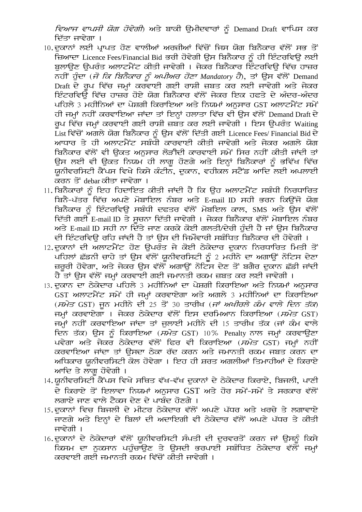*ਵਿਆਜ ਵਾਪਸੀ ਯੋਗ ਹੋਵੇਗੀ*) ਅਤੇ ਬਾਕੀ ਉਮੀਦਵਾਰਾਂ ਨੂੰ Demand Draft ਵਾਪਿਸ ਕਰ ਦਿੱਤਾ ਜਾਵੇਗਾ ।

- 10.ਦਕਾਨਾਂ ਲਈ ਪਾਪਤ ਹੋਣ ਵਾਲੀਆਂ ਅਰਜ਼ੀਆਂ ਵਿੱਚੋਂ ਜਿਸ ਯੋਗ ਬਿਨੈਕਾਰ ਵੱਲੋਂ ਸਭ ਤੋਂ ੱਜ਼ਆਦਾ Licence Fees/Financial Bid ਭਰੀ ਹੋਵੇਗੀ ਉਸ ਬਿਨੈਕਾਰ ਨੂੰ ਹੀ ਇੰਟਰਵਿਊ ਲਈ ਬਲਾੳਣ ੳਪਰੰਤ ਅਲਾਟਮੈਂਟ ਕੀਤੀ ਜਾਵੇਗੀ । ਜੇਕਰ ਬਿਨੈਕਾਰ ਇੰਟਰਵਿੳ ਵਿੱਚ ਹਾਜ਼ਰ ਨਹੀਂ ਹੁੰਦਾ (*ਜੋ ਕਿ ਬਿਨੈਕਾਰ ਨੂੰ ਅਪੀਅਰ ਹੋਣਾ Mandatory ਹੈ*), ਤਾਂ ਉਸ ਵੱਲੋਂ Demand Draft ਦੇ ਰੂਪ ਵਿੱਚ ਜਮਾਂ ਕਰਵਾਈ ਗਈ ਰਾਸ਼ੀ ਜ਼ਬਤ ਕਰ ਲਈ ਜਾਵੇਗੀ ਅਤੇ ਜੇਕਰ *ਇੰਟ*ਰਵਿਉ ਵਿੱਚ ਹਾਜ਼ਰ ਹੋਏ ਯੋਗ ਬਿਨੈਕਾਰ ਵੱਲੋਂ ਜੇਕਰ ਇਕ ਹਫਤੇ ਦੇ ਅੰਦਰ-ਅੰਦਰ ਪਹਿਲੇ 3 ਮਹੀਨਿਆਂ ਦਾ ਪੇਸ਼ਗੀ ਕਿਰਾਇਆ ਅਤੇ ਨਿਯਮਾਂ ਅਨੁਸਾਰ GST ਅਲਾਟਮੈਂਟ ਸਮੇਂ ਹੀ ਜਮ੍ਹਾਂ ਨਹੀਂ ਕਰਵਾਇਆ ਜਾਂਦਾ ਤਾਂ ਇਨ੍ਹਾਂ ਹਲਾਤਾ ਵਿੱਚ ਵੀ ਉਸ ਵੱਲੋਂ Demand Draft ਦੇ ਰਪ ਵਿੱਚ ਜਮਾਂ ਕਰਵਾਈ ਗਈ ਰਾਸ਼ੀ ਜ਼ਬਤ ਕਰ ਲਈ ਜਾਵੇਗੀ । ਇਸ ੳਪਰੰਤ Waiting List ਵਿੱਚੋਂ ਅਗਲੇ ਯੋਗ ਬਿਨੈਕਾਰ ਨੂੰ ਉਸ ਵੱਲੋਂ ਦਿੱਤੀ ਗਈ Licence Fees/ Financial Bid ਦੇ ਆਧਾਰ ਤੇ ਹੀ ਅਲਾਟਮੈਂਟ ਸਬੰਧੀ ਕਾਰਵਾਈ ਕੀਤੀ ਜਾਵੇਗੀ ਅਤੇ ਜੇਕਰ ਅਗਲੇ ਯੋਗ ਬਿਨੈਕਾਰ ਵੱਲੋਂ ਵੀ ਉਕਤ ਅਨੁਸਾਰ ਲੋੜੀਦੀ ਕਾਰਵਾਈ ਸਮੇਂ ਸਿਰ ਨਹੀਂ ਕੀਤੀ ਜਾਂਦੀ ਤਾਂ ਉਸ ਲਈ ਵੀ ਉਕਤ ਨਿਯਮ ਹੀ ਲਾਗੂ ਹੋਣਗੇ ਅਤੇ ਇਨ੍ਹਾਂ ਬਿਨੈਕਾਰਾਂ ਨੂੰ ਭਵਿੱਖ ਵਿੱਚ ਯੂਨੀਵਰਸਿਟੀ ਕੈਂਪਸ ਵਿਖੇ ਕਿਸੇ ਕੰਟੀਨ, ਦੁਕਾਨ, ਵਹੀਕਲ ਸਟੈਂਡ ਆਦਿ ਲਈ ਅਪਲਾਈ ਕਰਨ ਤੋਂ debarਕੀਤਾ ਜਾਵੇਗਾ ।
- 11. ਬਿਨੈਕਾਰਾਂ ਨੂੰ ਇਹ ਹਿਦਾਇਤ ਕੀਤੀ ਜਾਂਦੀ ਹੈ ਕਿ ਉਹ ਅਲਾਟਮੈਂਟ ਸਬੰਧੀ ਨਿਰਧਾਰਿਤ <u>ਬਿਨੈ-ਪੱਤਰ ਵਿੱਚ ਅਪਣੇ ਮੋਬਾਇਲ ਨੰਬਰ ਅਤੇ E-mail ID ਸਹੀ ਭਰਨ ਕਿਉਂਜੋ ਯੋਗ</u> ਬਿਨੈਕਾਰ ਨੂੰ ਇੰਟਰਵਿਊ ਸਬੰਧੀ ਦਫਤਰ ਵੱਲੋਂ ਮੋਬਇਲ ਕਾਲ, SMS ਅਤੇ ਉਸ ਵੱਲੋਂ ਦਿੱਤੀ ਗਈ E-mail ID ਤੇ ਸਚਨਾ ਦਿੱਤੀ ਜਾਵੇਗੀ । ਜੇਕਰ ਬਿਨੈਕਾਰ ਵੱਲੋਂ ਮੋਬਾਇਲ ਨੰਬਰ ਅਤੇ E-mail ID ਸਹੀ ਨਾ ਦਿੱਤੇ ਜਾਣ ਕਰਕੇ ਕੋਈ ਗਲਤੀ/ਦੇਰੀ ਹੰਦੀ ਹੈ ਜਾਂ ਉਸ ਬਿਨੈਕਾਰ ਦੀ ਇੰਟਰਵਿਊ ਰਹਿ ਜਾਂਦੀ ਹੈ ਤਾਂ ਉਸ ਦੀ ਜਿਮੌਵਾਰੀ ਸਬੰਧਿਤ ਬਿਨੈਕਾਰ ਦੀ ਹੋਵੇਗੀ ।
- 12.ਦਕਾਨਾਂ ਦੀ ਅਲਾਟਮੈਂਟ ਹੋਣ ਉਪਰੰਤ ਜੇ ਕੋਈ ਠੇਕੇਦਾਰ ਦਕਾਨ ਨਿਰਧਾਰਿਤ ਮਿਤੀ ਤੋਂ <u>ਪਹਿਲਾਂ ਛੱਡਨੀ ਚਾਹੇ ਤਾਂ ਉਸ ਵੱਲੋਂ ਯੂਨੀਵਰਸਿਟੀ ਨੂੰ 2 ਮਹੀਨੇ ਦਾ ਅਗਾਉਂ ਨੋਟਿਸ ਦੇਣਾ</u> ਜ਼ਰੂਰੀ ਹੋਵੇਗਾ, ਅਤੇ ਜੇਕਰ ਉਸ ਵੱਲੋਂ ਅਗਾਉਂ ਨੋਟਿਸ ਦੇਣ ਤੋਂ ਬਗੈਰ ਦੁਕਾਨ ਛੱਡੀ ਜਾਂਦੀ ਹੈ ਤਾਂ ਉਸ ਵੱਲੋਂ ਜਮ੍ਹਾਂ ਕਰਵਾਈ ਗਈ ਜਮਾਨਤੀ ਰਕਮ ਜ਼ਬਤ ਕਰ ਲਈ ਜਾਵੇਗੀ ।
- 13. ਦੁਕਾਨ ਦਾ ਠੇਕੇਦਾਰ ਪਹਿਲੇ 3 ਮਹੀਨਿਆਂ ਦਾ ਪੇਸ਼ਗੀ ਕਿਰਾਇਆ ਅਤੇ ਨਿਯਮਾਂ ਅਨੁਸਾਰ GST ਅਲਾਟਮੈਂਟ ਸਮੇਂ ਹੀ ਜਮ੍ਹਾਂ ਕਰਵਾਏਗਾ ਅਤੇ ਅਗਲੇ 3 ਮਹੀਨਿਆਂ ਦਾ ਕਿਰਾਇਆ (*ਸਮੇਤ* GST) ਜਨ ਮਹੀਨੇ ਦੀ 25 ਤੋਂ 30 ਤਾਰੀਖ (*ਜਾਂ ਅਖੀਰਲੇ ਕੰਮ ਵਾਲੇ ਦਿਨ ਤੱਕ*) ਜਮ੍ਹਾਂ ਕਰਵਾਏਗਾ । ਜੇਕਰ ਠੇਕੇਦਾਰ ਵੱਲੋਂ ਇਸ ਦਰਮਿਆਨ ਕਿਰਾਇਆ (*ਸਮੇਤ* GST) ਜਮਾਂ ਨਹੀਂ ਕਰਵਾਇਆ ਜਾਂਦਾ ਤਾਂ ਜਲਾਈ ਮਹੀਨੇ ਦੀ 15 ਤਾਰੀਖ ਤੱਕ (ਜਾਂ ਕੰਮ ਵਾਲੇ ਦਿਨ ਤੱਕ) ਉਸ ਨੂੰ ਕਿਰਾਇਆ (*ਸਮੇਤ* GST) 10% Penalty ਨਾਲ ਜਮ੍ਹਾਂ ਕਰਵਾਉਣਾ ਪਵੇਗਾ ਅਤੇ ਜੇਕਰ ਠੇਕੇਦਾਰ ਵੱਲੋਂ ਫਿਰ ਵੀ ਕਿਰਾਇਆ (*ਸਮੇਤ* GST) ਜਮ੍ਹਾਂ ਨਹੀਂ ਕਰਵਾਇਆ ਜਾਂਦਾ ਤਾਂ ਉਸਦਾ ਠੇਕਾ ਰੱਦ ਕਰਨ ਅਤੇ ਜਮਾਨਤੀ ਰਕਮ ਜਬਤ ਕਰਨ ਦਾ ਅਧਿਕਾਰ ਯੂਨੀਵਰਸਿਟੀ ਕੋਲ ਹੋਵੇਗਾ । ਇਹ ਹੀ ਸ਼ਰਤ ਅਗਲੀਆਂ ਤਿਮਾਹੀਆਂ ਦੇ ਕਿਰਾਏ ਆਦਿ ਤੇ ਲਾਗ ਹੋਵੇਗੀ ।
- 14.ਯੂਨੀਵਰਸਿਟੀ ਕੈਂਪਸ ਵਿਖੇ ਸਥਿਤ ਵੱਖ-ਵੱਖ ਦੁਕਾਨਾਂ ਦੇ ਠੇਕੇਦਾਰ ਕਿਰਾਏ, ਬਿਜਲੀ, ਪਾਣੀ ਦੇ ਕਿਰਾਏ ਤੋਂ ਇਲਾਵਾ ਨਿਯਮਾਂ ਅਨਸਾਰ GST ਅਤੇ ਹੋਰ ਸਮੇਂ-ਸਮੇਂ ਤੇ ਸਰਕਾਰ ਵੱਲੋਂ ਲਗਾਏ ਜਾਣ ਵਾਲੇ ਟੈਕਸ ਦੇਣ ਦੇ ਪਾਬੰਦ ਹੋਣਗੇ ।
- 15. ਦਕਾਨਾਂ ਵਿਚ ਬਿਜਲੀ ਦੇ ਮੀਟਰ ਠੇਕੇਦਾਰ ਵੱਲੋਂ ਅਪਣੇ ਪੱਧਰ ਅਤੇ ਖਰਚੇ ਤੇ ਲਗਾਵਾਏ ਜਾਣਗੇ ਅਤੇ ਇਨ੍ਹਾਂ ਦੇ ਬਿਲਾਂ ਦੀ ਅਦਾਇਗੀ ਵੀ ਠੇਕੇਦਾਰ ਵੱਲੋਂ ਅਪਣੇ ਪੱਧਰ ਤੇ ਕੀਤੀ ਜਾਵੇਗੀ ।
- 16.ਦੁਕਾਨਾਂ ਦੇ ਠੇਕੇਦਾਰਾਂ ਵੱਲੋਂ ਯੂਨੀਵਰਸਿਟੀ ਸੰਪਤੀ ਦੀ ਦੁਰਵਰਤੋਂ ਕਰਨ ਜਾਂ ਉਸਨੂੰ ਕਿਸੇ ਕਿਸਮ ਦਾ ਨੁਕਸਾਨ ਪਹੁੰਚਾਉਣ ਤੇ ਉਸਦੀ ਭਰਪਾਈ ਸਬੰਧਿਤ ਠੇਕੇਦਾਰ ਵੱਲੋਂ ਜਮ੍ਹਾਂ ਕਰਵਾਈ ਗਈ ਜਮਾਨਤੀ ਰਕਮ ਵਿੱਚੋਂ ਕੀਤੀ ਜਾਵੇਗੀ ।